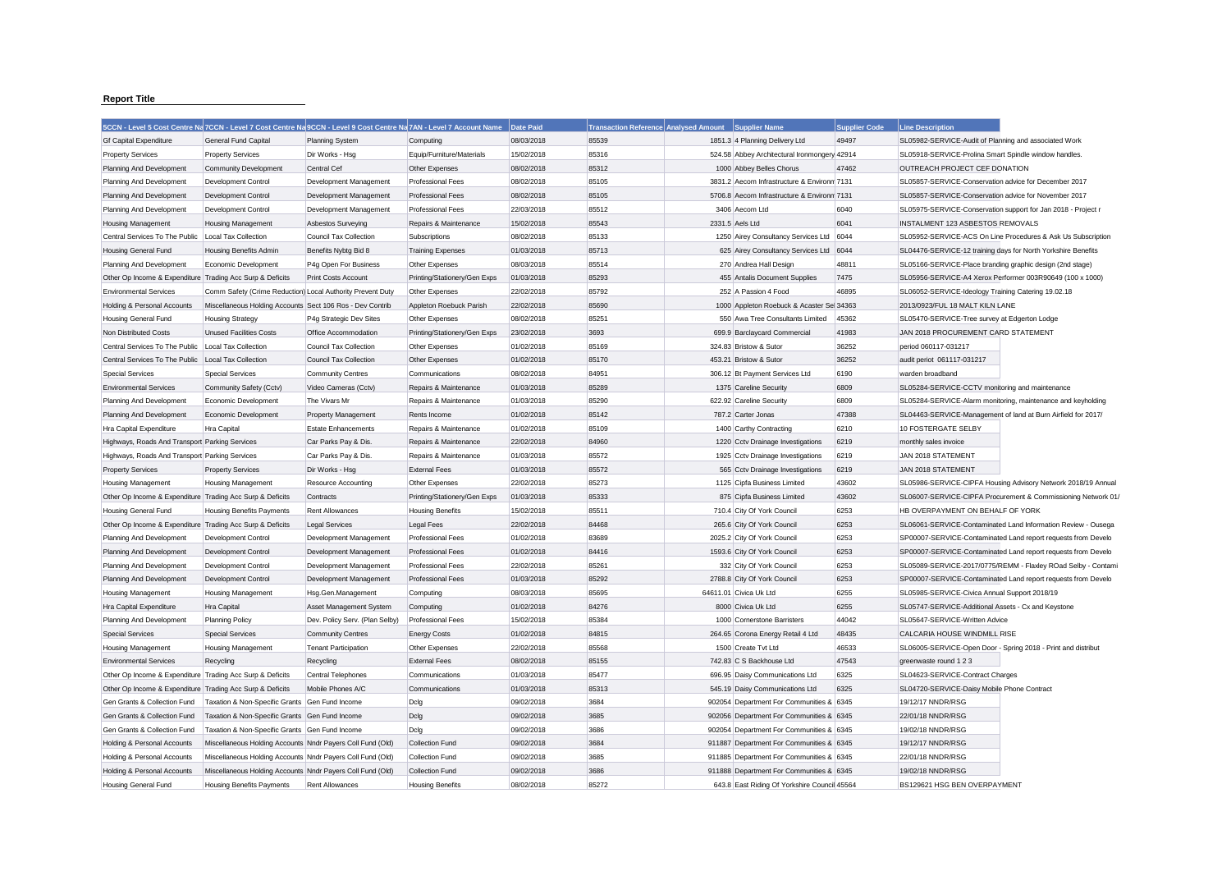## **Report Title**

|                                                           | 5CCN - Level 5 Cost Centre Na 7CCN - Level 7 Cost Centre Na 9CCN - Level 9 Cost Centre Na 7AN - Level 7 Account Name |                                |                              | Date Paid  | <b>Transaction Reference Analysed Amount</b> | Supplier Name                                | <b>Supplier Code</b> | <b>Line Description</b>                                       |                                                               |
|-----------------------------------------------------------|----------------------------------------------------------------------------------------------------------------------|--------------------------------|------------------------------|------------|----------------------------------------------|----------------------------------------------|----------------------|---------------------------------------------------------------|---------------------------------------------------------------|
| <b>Gf Capital Expenditure</b>                             | <b>General Fund Capital</b>                                                                                          | <b>Planning System</b>         | Computing                    | 08/03/2018 | 85539                                        | 1851.3 4 Planning Delivery Ltd               | 49497                | SL05982-SERVICE-Audit of Planning and associated Work         |                                                               |
| <b>Property Services</b>                                  | <b>Property Services</b>                                                                                             | Dir Works - Hsg                | Equip/Furniture/Materials    | 15/02/2018 | 85316                                        | 524.58 Abbey Architectural Ironmongery 42914 |                      | SL05918-SERVICE-Prolina Smart Spindle window handles.         |                                                               |
| Planning And Development                                  | <b>Community Development</b>                                                                                         | Central Cef                    | Other Expenses               | 08/02/2018 | 85312                                        | 1000 Abbey Belles Chorus                     | 47462                | OUTREACH PROJECT CEF DONATION                                 |                                                               |
| Planning And Development                                  | Development Control                                                                                                  | Development Management         | <b>Professional Fees</b>     | 08/02/2018 | 85105                                        | 3831.2 Aecom Infrastructure & Environm 7131  |                      | SL05857-SERVICE-Conservation advice for December 2017         |                                                               |
| Planning And Development                                  | Development Control                                                                                                  | Development Management         | <b>Professional Fees</b>     | 08/02/2018 | 85105                                        | 5706.8 Aecom Infrastructure & Environm 7131  |                      | SL05857-SERVICE-Conservation advice for November 2017         |                                                               |
| Planning And Development                                  | Development Control                                                                                                  | Development Management         | <b>Professional Fees</b>     | 22/03/2018 | 85512                                        | 3406 Aecom Ltd                               | 6040                 | SL05975-SERVICE-Conservation support for Jan 2018 - Project r |                                                               |
| <b>Housing Management</b>                                 | <b>Housing Management</b>                                                                                            | Asbestos Surveying             | Repairs & Maintenance        | 15/02/2018 | 85543                                        | 2331.5 Aels Ltd                              | 6041                 | <b>INSTALMENT 123 ASBESTOS REMOVALS</b>                       |                                                               |
| Central Services To The Public                            | Local Tax Collection                                                                                                 | Council Tax Collection         | Subscriptions                | 08/02/2018 | 85133                                        | 1250 Airey Consultancy Services Ltd 6044     |                      |                                                               | SL05952-SERVICE-ACS On Line Procedures & Ask Us Subscription  |
| Housing General Fund                                      | <b>Housing Benefits Admin</b>                                                                                        | Benefits Nybtg Bid 8           | <b>Training Expenses</b>     | 01/03/2018 | 85713                                        | 625 Airey Consultancy Services Ltd           | 6044                 | SL04476-SERVICE-12 training days for North Yorkshire Benefits |                                                               |
| Planning And Development                                  | Economic Development                                                                                                 | P4g Open For Business          | Other Expenses               | 08/03/2018 | 85514                                        | 270 Andrea Hall Design                       | 48811                | SL05166-SERVICE-Place branding graphic design (2nd stage)     |                                                               |
| Other Op Income & Expenditure Trading Acc Surp & Deficits |                                                                                                                      | Print Costs Account            | Printing/Stationery/Gen Exps | 01/03/2018 | 85293                                        | 455 Antalis Document Supplies                | 7475                 |                                                               | SL05956-SERVICE-A4 Xerox Performer 003R90649 (100 x 1000)     |
| <b>Environmental Services</b>                             | Comm Safety (Crime Reduction) Local Authority Prevent Duty                                                           |                                | Other Expenses               | 22/02/2018 | 85792                                        | 252 A Passion 4 Food                         | 46895                | SL06052-SERVICE-Ideology Training Catering 19.02.18           |                                                               |
| Holding & Personal Accounts                               | Miscellaneous Holding Accounts Sect 106 Ros - Dev Contrib                                                            |                                | Appleton Roebuck Parish      | 22/02/2018 | 85690                                        | 1000 Appleton Roebuck & Acaster Sel 34363    |                      | 2013/0923/FUL 18 MALT KILN LANE                               |                                                               |
| Housing General Fund                                      | <b>Housing Strategy</b>                                                                                              | P4g Strategic Dev Sites        | Other Expenses               | 08/02/2018 | 85251                                        | 550 Awa Tree Consultants Limited             | 45362                | SL05470-SERVICE-Tree survey at Edgerton Lodge                 |                                                               |
| Non Distributed Costs                                     | <b>Unused Facilities Costs</b>                                                                                       | Office Accommodation           | Printing/Stationery/Gen Exps | 23/02/2018 | 3693                                         | 699.9 Barclaycard Commercial                 | 41983                | JAN 2018 PROCUREMENT CARD STATEMENT                           |                                                               |
| Central Services To The Public                            | Local Tax Collection                                                                                                 | Council Tax Collection         | Other Expenses               | 01/02/2018 | 85169                                        | 324.83 Bristow & Sutor                       | 36252                | period 060117-031217                                          |                                                               |
| Central Services To The Public                            | Local Tax Collection                                                                                                 | Council Tax Collection         | Other Expenses               | 01/02/2018 | 85170                                        | 453.21 Bristow & Sutor                       | 36252                | audit periot 061117-031217                                    |                                                               |
| <b>Special Services</b>                                   | <b>Special Services</b>                                                                                              | <b>Community Centres</b>       | Communications               | 08/02/2018 | 84951                                        | 306.12 Bt Payment Services Ltd               | 6190                 | warden broadband                                              |                                                               |
| <b>Environmental Services</b>                             | Community Safety (Cctv)                                                                                              | Video Cameras (Cctv)           | Repairs & Maintenance        | 01/03/2018 | 85289                                        | 1375 Careline Security                       | 6809                 | SL05284-SERVICE-CCTV monitoring and maintenance               |                                                               |
| Planning And Development                                  | Economic Development                                                                                                 | The Vivars Mr                  | Repairs & Maintenance        | 01/03/2018 | 85290                                        | 622.92 Careline Security                     | 6809                 |                                                               | SL05284-SERVICE-Alarm monitoring, maintenance and keyholding  |
| Planning And Development                                  | Economic Development                                                                                                 | <b>Property Management</b>     | Rents Income                 | 01/02/2018 | 85142                                        | 787.2 Carter Jonas                           | 47388                |                                                               | SL04463-SERVICE-Management of land at Burn Airfield for 2017/ |
| Hra Capital Expenditure                                   | Hra Capital                                                                                                          | <b>Estate Enhancements</b>     | Repairs & Maintenance        | 01/02/2018 | 85109                                        | 1400 Carthy Contracting                      | 6210                 | 10 FOSTERGATE SELBY                                           |                                                               |
| Highways, Roads And Transport Parking Services            |                                                                                                                      | Car Parks Pay & Dis            | Repairs & Maintenance        | 22/02/2018 | 84960                                        | 1220 Cctv Drainage Investigations            | 6219                 | monthly sales invoice                                         |                                                               |
| Highways, Roads And Transport Parking Services            |                                                                                                                      | Car Parks Pay & Dis            | Repairs & Maintenance        | 01/03/2018 | 85572                                        | 1925 Cctv Drainage Investigations            | 6219                 | JAN 2018 STATEMENT                                            |                                                               |
| <b>Property Services</b>                                  | <b>Property Services</b>                                                                                             | Dir Works - Hsg                | <b>External Fees</b>         | 01/03/2018 | 85572                                        | 565 Cctv Drainage Investigations             | 6219                 | JAN 2018 STATEMENT                                            |                                                               |
| Housing Management                                        | <b>Housing Management</b>                                                                                            | Resource Accounting            | Other Expenses               | 22/02/2018 | 85273                                        | 1125 Cipfa Business Limited                  | 43602                |                                                               | SL05986-SERVICE-CIPFA Housing Advisory Network 2018/19 Annual |
| Other Op Income & Expenditure Trading Acc Surp & Deficits |                                                                                                                      | Contracts                      | Printing/Stationery/Gen Exps | 01/03/2018 | 85333                                        | 875 Cipfa Business Limited                   | 43602                |                                                               | SL06007-SERVICE-CIPFA Procurement & Commissioning Network 01, |
| Housing General Fund                                      | <b>Housing Benefits Payments</b>                                                                                     | <b>Rent Allowances</b>         | <b>Housing Benefits</b>      | 15/02/2018 | 85511                                        | 710.4 City Of York Council                   | 6253                 | HB OVERPAYMENT ON BEHALF OF YORK                              |                                                               |
| Other Op Income & Expenditure Trading Acc Surp & Deficits |                                                                                                                      | <b>Legal Services</b>          | Legal Fees                   | 22/02/2018 | 84468                                        | 265.6 City Of York Council                   | 6253                 |                                                               | SL06061-SERVICE-Contaminated Land Information Review - Ousega |
| Planning And Development                                  | Development Control                                                                                                  | Development Management         | <b>Professional Fees</b>     | 01/02/2018 | 83689                                        | 2025.2 City Of York Council                  | 6253                 |                                                               | SP00007-SERVICE-Contaminated Land report requests from Develo |
| Planning And Development                                  | Development Control                                                                                                  | Development Management         | Professional Fees            | 01/02/2018 | 84416                                        | 1593.6 City Of York Council                  | 6253                 |                                                               | SP00007-SERVICE-Contaminated Land report requests from Develo |
| Planning And Development                                  | Development Control                                                                                                  | Development Management         | <b>Professional Fees</b>     | 22/02/2018 | 85261                                        | 332 City Of York Council                     | 6253                 |                                                               | SL05089-SERVICE-2017/0775/REMM - Flaxley ROad Selby - Contami |
| Planning And Development                                  | Development Control                                                                                                  | Development Management         | <b>Professional Fees</b>     | 01/03/2018 | 85292                                        | 2788.8 City Of York Council                  | 6253                 |                                                               | SP00007-SERVICE-Contaminated Land report requests from Develo |
| Housing Management                                        | <b>Housing Management</b>                                                                                            | Hsg.Gen.Management             | Computing                    | 08/03/2018 | 85695                                        | 64611.01 Civica Uk Ltd                       | 6255                 | SL05985-SERVICE-Civica Annual Support 2018/19                 |                                                               |
| Hra Capital Expenditure                                   | Hra Capital                                                                                                          | Asset Management System        | Computing                    | 01/02/2018 | 84276                                        | 8000 Civica Uk Ltd                           | 6255                 | SL05747-SERVICE-Additional Assets - Cx and Keystone           |                                                               |
| Planning And Development                                  | <b>Planning Policy</b>                                                                                               | Dev. Policy Serv. (Plan Selby) | Professional Fees            | 15/02/2018 | 85384                                        | 1000 Cornerstone Barristers                  | 44042                | SL05647-SERVICE-Written Advice                                |                                                               |
| <b>Special Services</b>                                   | <b>Special Services</b>                                                                                              | <b>Community Centres</b>       | <b>Energy Costs</b>          | 01/02/2018 | 84815                                        | 264.65 Corona Energy Retail 4 Ltd            | 48435                | CALCARIA HOUSE WINDMILL RISE                                  |                                                               |
| <b>Housing Management</b>                                 | <b>Housing Management</b>                                                                                            | <b>Tenant Participation</b>    | Other Expenses               | 22/02/2018 | 85568                                        | 1500 Create Tvt Ltd                          | 46533                | SL06005-SERVICE-Open Door - Spring 2018 - Print and distribut |                                                               |
| <b>Environmental Services</b>                             | Recycling                                                                                                            | Recycling                      | <b>External Fees</b>         | 08/02/2018 | 85155                                        | 742.83 C S Backhouse Ltd                     | 47543                | greenwaste round 1 2 3                                        |                                                               |
| Other Op Income & Expenditure Trading Acc Surp & Deficits |                                                                                                                      | Central Telephones             | Communications               | 01/03/2018 | 85477                                        | 696.95 Daisy Communications Ltd              | 6325                 | SL04623-SERVICE-Contract Charges                              |                                                               |
| Other Op Income & Expenditure Trading Acc Surp & Deficits |                                                                                                                      | Mobile Phones A/C              | Communications               | 01/03/2018 | 85313                                        | 545.19 Daisy Communications Ltd              | 6325                 | SL04720-SERVICE-Daisy Mobile Phone Contract                   |                                                               |
| Gen Grants & Collection Fund                              | Taxation & Non-Specific Grants Gen Fund Income                                                                       |                                | Dclg                         | 09/02/2018 | 3684                                         | 902054 Department For Communities & 6345     |                      | 19/12/17 NNDR/RSG                                             |                                                               |
| Gen Grants & Collection Fund                              | Taxation & Non-Specific Grants Gen Fund Income                                                                       |                                | Dclg                         | 09/02/2018 | 3685                                         | 902056 Department For Communities & 6345     |                      | 22/01/18 NNDR/RSG                                             |                                                               |
| Gen Grants & Collection Fund                              | Taxation & Non-Specific Grants Gen Fund Income                                                                       |                                | Dclg                         | 09/02/2018 | 3686                                         | 902054 Department For Communities & 6345     |                      | 19/02/18 NNDR/RSG                                             |                                                               |
| Holding & Personal Accounts                               | Miscellaneous Holding Accounts Nndr Payers Coll Fund (Old)                                                           |                                | Collection Fund              | 09/02/2018 | 3684                                         | 911887 Department For Communities & 6345     |                      | 19/12/17 NNDR/RSG                                             |                                                               |
| Holding & Personal Accounts                               | Miscellaneous Holding Accounts Nndr Payers Coll Fund (Old)                                                           |                                | Collection Fund              | 09/02/2018 | 3685                                         | 911885 Department For Communities & 6345     |                      | 22/01/18 NNDR/RSG                                             |                                                               |
| Holding & Personal Accounts                               | Miscellaneous Holding Accounts Nndr Payers Coll Fund (Old)                                                           |                                | Collection Fund              | 09/02/2018 | 3686                                         | 911888 Department For Communities & 6345     |                      | 19/02/18 NNDR/RSG                                             |                                                               |
| <b>Housing General Fund</b>                               | <b>Housing Benefits Payments</b>                                                                                     | <b>Rent Allowances</b>         | <b>Housing Benefits</b>      | 08/02/2018 | 85272                                        | 643.8 East Riding Of Yorkshire Council 45564 |                      | BS129621 HSG BEN OVERPAYMENT                                  |                                                               |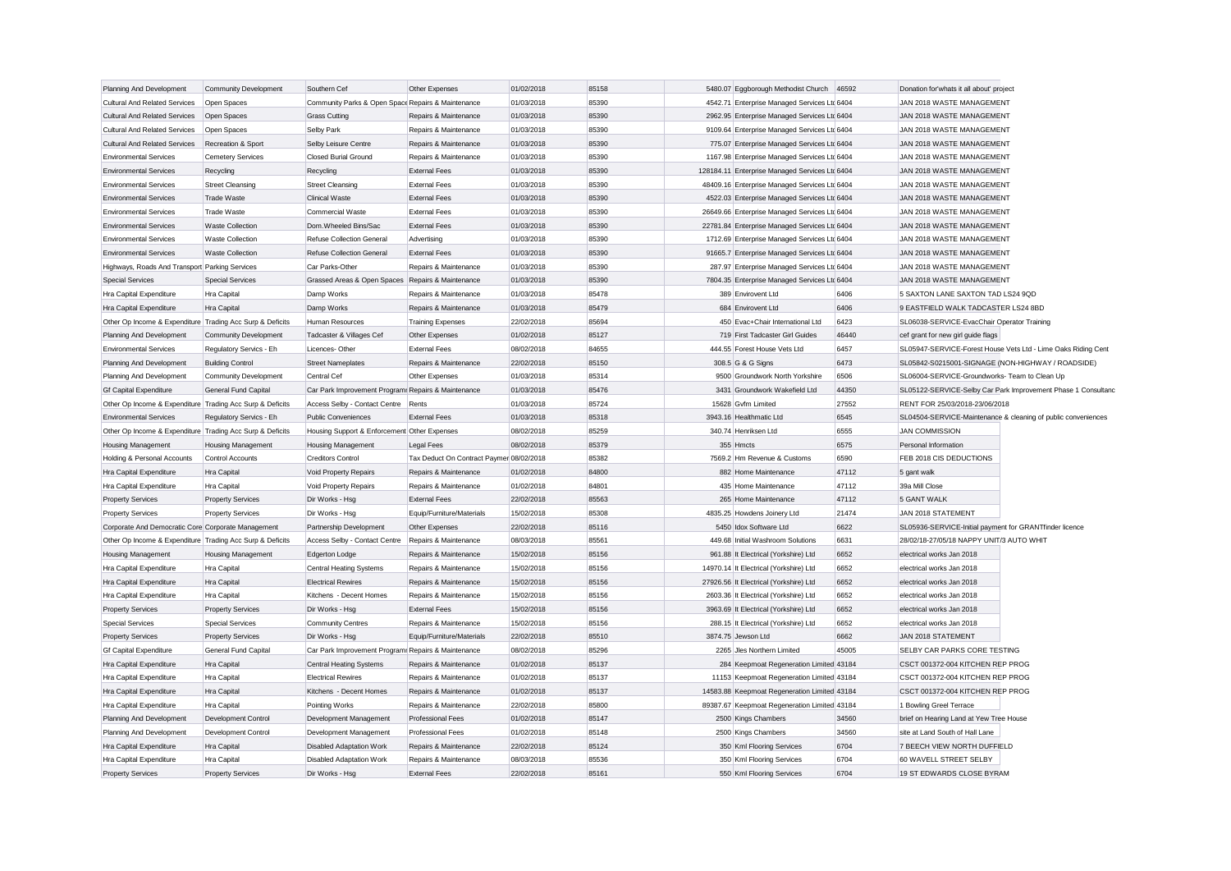| Planning And Development                                  | <b>Community Development</b>                  | Southern Cef                                          | Other Expenses                                                | 01/02/2018 | 85158 | 5480.07 Eggborough Methodist Church            | 46592 | Donation for'whats it all about' project                |                                                               |
|-----------------------------------------------------------|-----------------------------------------------|-------------------------------------------------------|---------------------------------------------------------------|------------|-------|------------------------------------------------|-------|---------------------------------------------------------|---------------------------------------------------------------|
| <b>Cultural And Related Services</b>                      | Open Spaces                                   | Community Parks & Open Space Repairs & Maintenance    |                                                               | 01/03/2018 | 85390 | 4542.71 Enterprise Managed Services Ltd 6404   |       | JAN 2018 WASTE MANAGEMENT                               |                                                               |
| <b>Cultural And Related Services</b>                      | Open Spaces                                   | <b>Grass Cutting</b>                                  | Repairs & Maintenance                                         | 01/03/2018 | 85390 | 2962.95 Enterprise Managed Services Ltc 6404   |       | JAN 2018 WASTE MANAGEMENT                               |                                                               |
| <b>Cultural And Related Services</b>                      | Open Spaces                                   | Selby Park                                            | Repairs & Maintenance                                         | 01/03/2018 | 85390 | 9109.64 Enterprise Managed Services Ltd 6404   |       | JAN 2018 WASTE MANAGEMENT                               |                                                               |
| <b>Cultural And Related Services</b>                      | Recreation & Sport                            | Selby Leisure Centre                                  | Repairs & Maintenance                                         | 01/03/2018 | 85390 | 775.07 Enterprise Managed Services Ltd 6404    |       | JAN 2018 WASTE MANAGEMENT                               |                                                               |
| <b>Environmental Services</b>                             | <b>Cemetery Services</b>                      | <b>Closed Burial Ground</b>                           | Repairs & Maintenance                                         | 01/03/2018 | 85390 | 1167.98 Enterprise Managed Services Ltd 6404   |       | JAN 2018 WASTE MANAGEMENT                               |                                                               |
| <b>Environmental Services</b>                             | Recycling                                     | Recycling                                             | <b>External Fees</b>                                          | 01/03/2018 | 85390 | 128184.11 Enterprise Managed Services Ltd 6404 |       | JAN 2018 WASTE MANAGEMENT                               |                                                               |
| <b>Environmental Services</b>                             | <b>Street Cleansing</b>                       | <b>Street Cleansing</b>                               | <b>External Fees</b>                                          | 01/03/2018 | 85390 | 48409.16 Enterprise Managed Services Ltd 6404  |       | JAN 2018 WASTE MANAGEMENT                               |                                                               |
| <b>Environmental Services</b>                             | <b>Trade Waste</b>                            | <b>Clinical Waste</b>                                 | <b>External Fees</b>                                          | 01/03/2018 | 85390 | 4522.03 Enterprise Managed Services Ltd 6404   |       | JAN 2018 WASTE MANAGEMENT                               |                                                               |
| <b>Environmental Services</b>                             | <b>Trade Waste</b>                            | <b>Commercial Waste</b>                               | <b>External Fees</b>                                          | 01/03/2018 | 85390 | 26649.66 Enterprise Managed Services Ltd 6404  |       | JAN 2018 WASTE MANAGEMENT                               |                                                               |
| <b>Environmental Services</b>                             | <b>Waste Collection</b>                       | Dom.Wheeled Bins/Sac                                  | <b>External Fees</b>                                          | 01/03/2018 | 85390 | 22781.84 Enterprise Managed Services Ltd 6404  |       | JAN 2018 WASTE MANAGEMENT                               |                                                               |
| <b>Environmental Services</b>                             | <b>Waste Collection</b>                       | Refuse Collection General                             | Advertising                                                   | 01/03/2018 | 85390 | 1712.69 Enterprise Managed Services Ltd 6404   |       | JAN 2018 WASTE MANAGEMENT                               |                                                               |
| <b>Environmental Services</b>                             | <b>Waste Collection</b>                       | <b>Refuse Collection General</b>                      | <b>External Fees</b>                                          | 01/03/2018 | 85390 | 91665.7 Enterprise Managed Services Ltd 6404   |       | JAN 2018 WASTE MANAGEMENT                               |                                                               |
| Highways, Roads And Transport Parking Services            |                                               | Car Parks-Other                                       | Repairs & Maintenance                                         | 01/03/2018 | 85390 | 287.97 Enterprise Managed Services Ltd 6404    |       | JAN 2018 WASTE MANAGEMENT                               |                                                               |
| <b>Special Services</b>                                   | <b>Special Services</b>                       | Grassed Areas & Open Spaces Repairs & Maintenance     |                                                               | 01/03/2018 | 85390 | 7804.35 Enterprise Managed Services Ltc 6404   |       | JAN 2018 WASTE MANAGEMENT                               |                                                               |
| Hra Capital Expenditure                                   | Hra Capital                                   | Damp Works                                            | Repairs & Maintenance                                         | 01/03/2018 | 85478 | 389 Envirovent Ltd                             | 6406  | 5 SAXTON LANE SAXTON TAD LS24 9QD                       |                                                               |
| Hra Capital Expenditure                                   | Hra Capital                                   | Damp Works                                            | Repairs & Maintenance                                         | 01/03/2018 | 85479 | 684 Envirovent Ltd                             | 6406  | 9 EASTFIELD WALK TADCASTER LS24 8BD                     |                                                               |
| Other Op Income & Expenditure Trading Acc Surp & Deficits |                                               | Human Resources                                       | <b>Training Expenses</b>                                      | 22/02/2018 | 85694 | 450 Evac+Chair International Ltd               | 6423  | SL06038-SERVICE-EvacChair Operator Training             |                                                               |
| Planning And Development                                  | <b>Community Development</b>                  | Tadcaster & Villages Cef                              | Other Expenses                                                | 01/02/2018 | 85127 | 719 First Tadcaster Girl Guides                | 46440 | cef grant for new girl guide flags                      |                                                               |
| <b>Environmental Services</b>                             | Regulatory Servics - Eh                       | Licences-Other                                        | <b>External Fees</b>                                          | 08/02/2018 | 84655 | 444.55 Forest House Vets Ltd                   | 6457  |                                                         | SL05947-SERVICE-Forest House Vets Ltd - Lime Oaks Riding Cent |
| Planning And Development                                  | <b>Building Control</b>                       | <b>Street Nameplates</b>                              | Repairs & Maintenance                                         | 22/02/2018 | 85150 | 308.5 G & G Signs                              | 6473  | SL05842-S0215001-SIGNAGE (NON-HIGHWAY / ROADSIDE)       |                                                               |
| Planning And Development                                  | <b>Community Development</b>                  | Central Cef                                           | Other Expenses                                                | 01/03/2018 | 85314 | 9500 Groundwork North Yorkshire                | 6506  | SL06004-SERVICE-Groundworks- Team to Clean Up           |                                                               |
| <b>Gf Capital Expenditure</b>                             | General Fund Capital                          | Car Park Improvement Program: Repairs & Maintenance   |                                                               | 01/03/2018 | 85476 | 3431 Groundwork Wakefield Ltd                  | 44350 |                                                         | SL05122-SERVICE-Selby Car Park Improvement Phase 1 Consultand |
| Other Op Income & Expenditure Trading Acc Surp & Deficits |                                               | Access Selby - Contact Centre Rents                   |                                                               | 01/03/2018 | 85724 | 15628 Gvfm Limited                             | 27552 | RENT FOR 25/03/2018-23/06/2018                          |                                                               |
| <b>Environmental Services</b>                             | Regulatory Servics - Eh                       |                                                       | <b>External Fees</b>                                          | 01/03/2018 | 85318 | 3943.16 Healthmatic Ltd                        | 6545  |                                                         |                                                               |
|                                                           |                                               | <b>Public Conveniences</b>                            |                                                               | 08/02/2018 | 85259 | 340.74 Henriksen Ltd                           | 6555  | <b>JAN COMMISSION</b>                                   | SL04504-SERVICE-Maintenance & cleaning of public conveniences |
| Other Op Income & Expenditure Trading Acc Surp & Deficits |                                               | Housing Support & Enforcement Other Expenses          |                                                               | 08/02/2018 | 85379 | 355 Hmcts                                      | 6575  | Personal Information                                    |                                                               |
| Housing Management                                        | <b>Housing Management</b><br>Control Accounts | <b>Housing Management</b><br><b>Creditors Control</b> | <b>Legal Fees</b><br>Tax Deduct On Contract Paymer 08/02/2018 |            | 85382 | 7569.2 Hm Revenue & Customs                    | 6590  | FEB 2018 CIS DEDUCTIONS                                 |                                                               |
| Holding & Personal Accounts                               |                                               |                                                       | Repairs & Maintenance                                         | 01/02/2018 | 84800 | 882 Home Maintenance                           | 47112 |                                                         |                                                               |
| Hra Capital Expenditure                                   | Hra Capital                                   | Void Property Repairs                                 |                                                               |            |       |                                                |       | 5 gant walk                                             |                                                               |
| Hra Capital Expenditure                                   | Hra Capital                                   | Void Property Repairs                                 | Repairs & Maintenance                                         | 01/02/2018 | 84801 | 435 Home Maintenance                           | 47112 | 39a Mill Close                                          |                                                               |
| <b>Property Services</b>                                  | <b>Property Services</b>                      | Dir Works - Hsg                                       | <b>External Fees</b>                                          | 22/02/2018 | 85563 | 265 Home Maintenance                           | 47112 | 5 GANT WALK                                             |                                                               |
| <b>Property Services</b>                                  | <b>Property Services</b>                      | Dir Works - Hsg                                       | Equip/Furniture/Materials                                     | 15/02/2018 | 85308 | 4835.25 Howdens Joinery Ltd                    | 21474 | JAN 2018 STATEMENT                                      |                                                               |
| Corporate And Democratic Core Corporate Management        |                                               | Partnership Development                               | Other Expenses                                                | 22/02/2018 | 85116 | 5450 Idox Software Ltd                         | 6622  | SL05936-SERVICE-Initial payment for GRANTfinder licence |                                                               |
| Other Op Income & Expenditure Trading Acc Surp & Deficits |                                               | Access Selby - Contact Centre                         | Repairs & Maintenance                                         | 08/03/2018 | 85561 | 449.68 Initial Washroom Solutions              | 6631  | 28/02/18-27/05/18 NAPPY UNIT/3 AUTO WHIT                |                                                               |
| Housing Management                                        | <b>Housing Management</b>                     | Edgerton Lodge                                        | Repairs & Maintenance                                         | 15/02/2018 | 85156 | 961.88 It Electrical (Yorkshire) Ltd           | 6652  | electrical works Jan 2018                               |                                                               |
| Hra Capital Expenditure                                   | Hra Capital                                   | <b>Central Heating Systems</b>                        | Repairs & Maintenance                                         | 15/02/2018 | 85156 | 14970.14 It Electrical (Yorkshire) Ltd         | 6652  | electrical works Jan 2018                               |                                                               |
| Hra Capital Expenditure                                   | Hra Capital                                   | <b>Electrical Rewires</b>                             | Repairs & Maintenance                                         | 15/02/2018 | 85156 | 27926.56 It Electrical (Yorkshire) Ltd         | 6652  | electrical works Jan 2018                               |                                                               |
| Hra Capital Expenditure                                   | Hra Capital                                   | Kitchens - Decent Homes                               | Repairs & Maintenance                                         | 15/02/2018 | 85156 | 2603.36 It Electrical (Yorkshire) Ltd          | 6652  | electrical works Jan 2018                               |                                                               |
| <b>Property Services</b>                                  | <b>Property Services</b>                      | Dir Works - Hsg                                       | <b>External Fees</b>                                          | 15/02/2018 | 85156 | 3963.69 It Electrical (Yorkshire) Ltd          | 6652  | electrical works Jan 2018                               |                                                               |
| <b>Special Services</b>                                   | <b>Special Services</b>                       | <b>Community Centres</b>                              | Repairs & Maintenance                                         | 15/02/2018 | 85156 | 288.15 It Electrical (Yorkshire) Ltd           | 6652  | electrical works Jan 2018                               |                                                               |
| <b>Property Services</b>                                  | <b>Property Services</b>                      | Dir Works - Hsg                                       | Equip/Furniture/Materials                                     | 22/02/2018 | 85510 | 3874.75 Jewson Ltd                             | 6662  | JAN 2018 STATEMENT                                      |                                                               |
| <b>Gf Capital Expenditure</b>                             | General Fund Capital                          | Car Park Improvement Program: Repairs & Maintenance   |                                                               | 08/02/2018 | 85296 | 2265 Jles Northern Limited                     | 45005 | SELBY CAR PARKS CORE TESTING                            |                                                               |
| Hra Capital Expenditure                                   | Hra Capital                                   | <b>Central Heating Systems</b>                        | Repairs & Maintenance                                         | 01/02/2018 | 85137 | 284 Keepmoat Regeneration Limited 43184        |       | CSCT 001372-004 KITCHEN REP PROG                        |                                                               |
| Hra Capital Expenditure                                   | Hra Capital                                   | <b>Electrical Rewires</b>                             | Repairs & Maintenance                                         | 01/02/2018 | 85137 | 11153 Keepmoat Regeneration Limited 43184      |       | CSCT 001372-004 KITCHEN REP PROG                        |                                                               |
| Hra Capital Expenditure                                   | Hra Capital                                   | Kitchens - Decent Homes                               | Repairs & Maintenance                                         | 01/02/2018 | 85137 | 14583.88 Keepmoat Regeneration Limited 43184   |       | CSCT 001372-004 KITCHEN REP PROG                        |                                                               |
| Hra Capital Expenditure                                   | Hra Capital                                   | Pointing Works                                        | Repairs & Maintenance                                         | 22/02/2018 | 85800 | 89387.67 Keepmoat Regeneration Limited 43184   |       | 1 Bowling Greel Terrace                                 |                                                               |
| Planning And Development                                  | Development Control                           | Development Management                                | <b>Professional Fees</b>                                      | 01/02/2018 | 85147 | 2500 Kings Chambers                            | 34560 | brief on Hearing Land at Yew Tree House                 |                                                               |
| Planning And Development                                  | Development Control                           | Development Management                                | Professional Fees                                             | 01/02/2018 | 85148 | 2500 Kings Chambers                            | 34560 | site at Land South of Hall Lane                         |                                                               |
| Hra Capital Expenditure                                   | Hra Capital                                   | <b>Disabled Adaptation Work</b>                       | Repairs & Maintenance                                         | 22/02/2018 | 85124 | 350 Kml Flooring Services                      | 6704  | 7 BEECH VIEW NORTH DUFFIELD                             |                                                               |
| Hra Capital Expenditure                                   | Hra Capital                                   | Disabled Adaptation Work                              | Repairs & Maintenance                                         | 08/03/2018 | 85536 | 350 Kml Flooring Services                      | 6704  | 60 WAVELL STREET SELBY                                  |                                                               |
| <b>Property Services</b>                                  | <b>Property Services</b>                      | Dir Works - Hsg                                       | <b>External Fees</b>                                          | 22/02/2018 | 85161 | 550 Kml Flooring Services                      | 6704  | 19 ST EDWARDS CLOSE BYRAM                               |                                                               |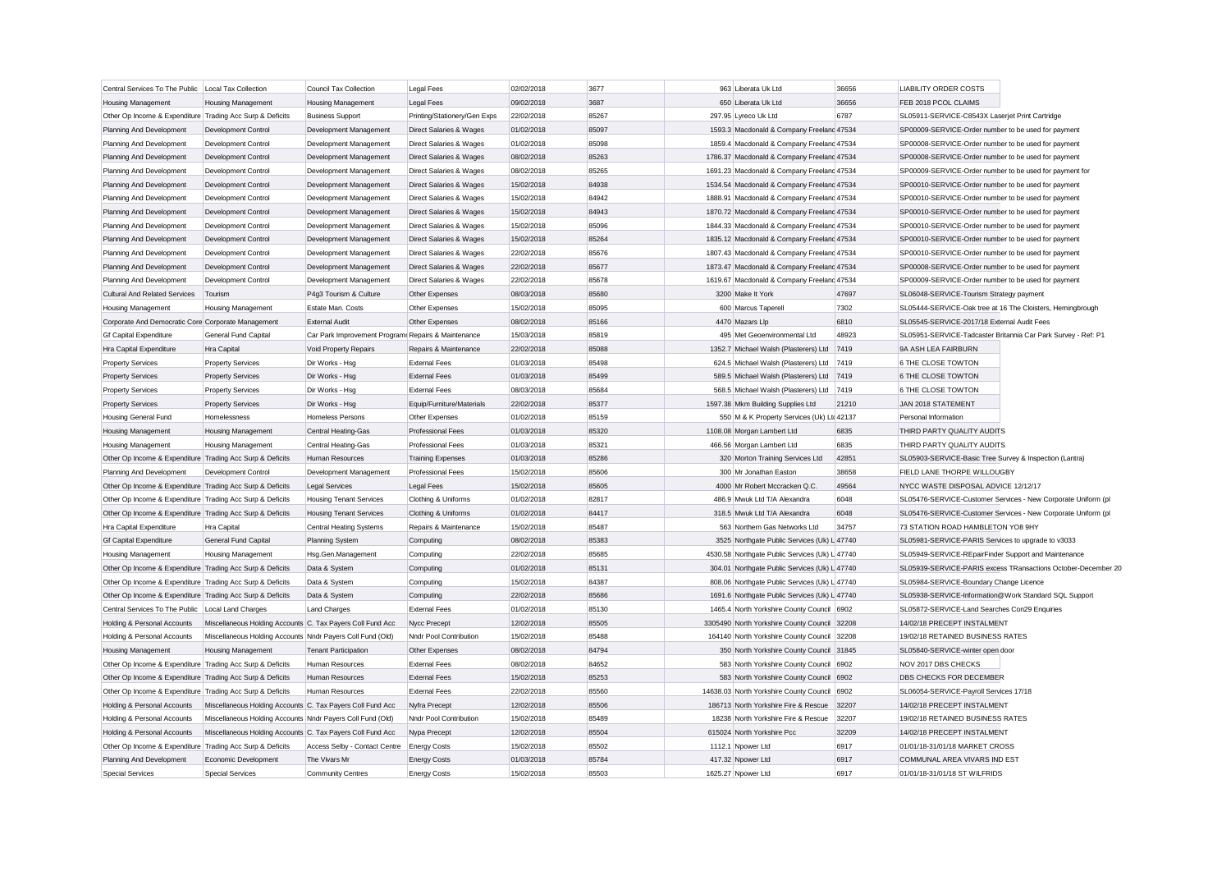| Central Services To The Public   Local Tax Collection     |                                                            | Council Tax Collection                              | <b>Legal Fees</b>            | 02/02/2018 | 3677  | 963 Liberata Uk Ltd                            | 36656          | <b>LIABILITY ORDER COSTS</b>                                  |
|-----------------------------------------------------------|------------------------------------------------------------|-----------------------------------------------------|------------------------------|------------|-------|------------------------------------------------|----------------|---------------------------------------------------------------|
| <b>Housing Management</b>                                 | <b>Housing Management</b>                                  | Housing Management                                  | <b>Legal Fees</b>            | 09/02/2018 | 3687  | 650 Liberata Uk Ltd                            | 36656          | FEB 2018 PCOL CLAIMS                                          |
| Other Op Income & Expenditure Trading Acc Surp & Deficits |                                                            | <b>Business Support</b>                             | Printing/Stationery/Gen Exps | 22/02/2018 | 85267 | 297.95 Lyreco Uk Ltd                           | 6787           | SL05911-SERVICE-C8543X Laserjet Print Cartridge               |
| Planning And Development                                  | Development Control                                        | Development Management                              | Direct Salaries & Wages      | 01/02/2018 | 85097 | 1593.3 Macdonald & Company Freeland 47534      |                | SP00009-SERVICE-Order number to be used for payment           |
| Planning And Development                                  | Development Control                                        | Development Management                              | Direct Salaries & Wages      | 01/02/2018 | 85098 | 1859.4 Macdonald & Company Freeland 47534      |                | SP00008-SERVICE-Order number to be used for payment           |
| Planning And Development                                  | Development Control                                        | Development Management                              | Direct Salaries & Wages      | 08/02/2018 | 85263 | 1786.37 Macdonald & Company Freeland 47534     |                | SP00008-SERVICE-Order number to be used for payment           |
| Planning And Development                                  | Development Control                                        | Development Management                              | Direct Salaries & Wages      | 08/02/2018 | 85265 | 1691.23 Macdonald & Company Freeland 47534     |                | SP00009-SERVICE-Order number to be used for payment for       |
| Planning And Development                                  | Development Control                                        | Development Management                              | Direct Salaries & Wages      | 15/02/2018 | 84938 | 1534.54 Macdonald & Company Freeland 47534     |                | SP00010-SERVICE-Order number to be used for payment           |
| Planning And Development                                  | Development Control                                        | Development Management                              | Direct Salaries & Wages      | 15/02/2018 | 84942 | 1888.91 Macdonald & Company Freeland 47534     |                | SP00010-SERVICE-Order number to be used for payment           |
| Planning And Development                                  | Development Control                                        | Development Management                              | Direct Salaries & Wages      | 15/02/2018 | 84943 | 1870.72 Macdonald & Company Freelanc 47534     |                | SP00010-SERVICE-Order number to be used for payment           |
| Planning And Development                                  | Development Control                                        | Development Management                              | Direct Salaries & Wages      | 15/02/2018 | 85096 | 1844.33 Macdonald & Company Freeland 47534     |                | SP00010-SERVICE-Order number to be used for payment           |
| Planning And Development                                  | Development Control                                        | Development Management                              | Direct Salaries & Wages      | 15/02/2018 | 85264 | 1835.12 Macdonald & Company Freelanc 47534     |                | SP00010-SERVICE-Order number to be used for payment           |
| Planning And Development                                  | Development Control                                        | Development Management                              | Direct Salaries & Wages      | 22/02/2018 | 85676 | 1807.43 Macdonald & Company Freeland 47534     |                | SP00010-SERVICE-Order number to be used for payment           |
| Planning And Development                                  | Development Control                                        | Development Management                              | Direct Salaries & Wages      | 22/02/2018 | 85677 | 1873.47 Macdonald & Company Freelanc 47534     |                | SP00008-SERVICE-Order number to be used for payment           |
| Planning And Development                                  | Development Control                                        | Development Management                              | Direct Salaries & Wages      | 22/02/2018 | 85678 | 1619.67 Macdonald & Company Freeland 47534     |                | SP00009-SERVICE-Order number to be used for payment           |
| Cultural And Related Services                             | Tourism                                                    | P4g3 Tourism & Culture                              | Other Expenses               | 08/03/2018 | 85680 | 3200 Make It York                              | 47697          | SL06048-SERVICE-Tourism Strategy payment                      |
| <b>Housing Management</b>                                 | <b>Housing Management</b>                                  | Estate Man. Costs                                   | Other Expenses               | 15/02/2018 | 85095 | 600 Marcus Taperell                            | 7302           | SL05444-SERVICE-Oak tree at 16 The Cloisters, Hemingbrough    |
| Corporate And Democratic Core Corporate Management        |                                                            | <b>External Audit</b>                               | Other Expenses               | 08/02/2018 | 85166 | 4470 Mazars Llp                                | 6810           | SL05545-SERVICE-2017/18 External Audit Fees                   |
| <b>Gf Capital Expenditure</b>                             | General Fund Capital                                       | Car Park Improvement Program: Repairs & Maintenance |                              | 15/03/2018 | 85819 | 495 Met Geoenvironmental Ltd                   | 48923          | SL05951-SERVICE-Tadcaster Britannia Car Park Survey - Ref: P1 |
| Hra Capital Expenditure                                   | Hra Capital                                                | Void Property Repairs                               | Repairs & Maintenance        | 22/02/2018 | 85088 | 1352.7 Michael Walsh (Plasterers) Ltd          | 7419           | 9A ASH LEA FAIRBURN                                           |
| <b>Property Services</b>                                  | <b>Property Services</b>                                   | Dir Works - Hsg                                     | <b>External Fees</b>         | 01/03/2018 | 85498 | 624.5 Michael Walsh (Plasterers) Ltd           | 7419           | 6 THE CLOSE TOWTON                                            |
| <b>Property Services</b>                                  | <b>Property Services</b>                                   | Dir Works - Hsg                                     | <b>External Fees</b>         | 01/03/2018 | 85499 | 589.5 Michael Walsh (Plasterers) Ltd           | 7419           | 6 THE CLOSE TOWTON                                            |
| <b>Property Services</b>                                  | <b>Property Services</b>                                   | Dir Works - Hsg                                     | <b>External Fees</b>         | 08/03/2018 | 85684 | 568.5 Michael Walsh (Plasterers) Ltd           | 7419           | 6 THE CLOSE TOWTON                                            |
| <b>Property Services</b>                                  | <b>Property Services</b>                                   | Dir Works - Hsg                                     | Equip/Furniture/Materials    | 22/02/2018 | 85377 | 1597.38 Mkm Building Supplies Ltd              | 21210          | JAN 2018 STATEMENT                                            |
| Housing General Fund                                      | Homelessness                                               | Homeless Persons                                    | Other Expenses               | 01/02/2018 | 85159 | 550 M & K Property Services (Uk) Ltd 42137     |                | Personal Information                                          |
| Housing Management                                        | <b>Housing Management</b>                                  | <b>Central Heating-Gas</b>                          | Professional Fees            | 01/03/2018 | 85320 | 1108.08 Morgan Lambert Ltd                     | 6835           | THIRD PARTY QUALITY AUDITS                                    |
| <b>Housing Management</b>                                 | <b>Housing Management</b>                                  | <b>Central Heating-Gas</b>                          | <b>Professional Fees</b>     | 01/03/2018 | 85321 | 466.56 Morgan Lambert Ltd                      | 6835           | THIRD PARTY QUALITY AUDITS                                    |
| Other Op Income & Expenditure Trading Acc Surp & Deficits |                                                            | Human Resources                                     | <b>Training Expenses</b>     | 01/03/2018 | 85286 | 320 Morton Training Services Ltd               | 42851          | SL05903-SERVICE-Basic Tree Survey & Inspection (Lantra)       |
| Planning And Development                                  | Development Control                                        | Development Management                              | Professional Fees            | 15/02/2018 | 85606 | 300 Mr Jonathan Easton                         | 38658          | FIELD LANE THORPE WILLOUGBY                                   |
| Other Op Income & Expenditure Trading Acc Surp & Deficits |                                                            | <b>Legal Services</b>                               | Legal Fees                   | 15/02/2018 | 85605 | 4000 Mr Robert Mccracken Q.C.                  | 49564          | NYCC WASTE DISPOSAL ADVICE 12/12/17                           |
| Other Op Income & Expenditure Trading Acc Surp & Deficits |                                                            | <b>Housing Tenant Services</b>                      | Clothing & Uniforms          | 01/02/2018 | 82817 | 486.9 Mwuk Ltd T/A Alexandra                   | 6048           | SL05476-SERVICE-Customer Services - New Corporate Uniform (pl |
| Other Op Income & Expenditure Trading Acc Surp & Deficits |                                                            | <b>Housing Tenant Services</b>                      | Clothing & Uniforms          | 01/02/2018 | 84417 | 318.5 Mwuk Ltd T/A Alexandra                   | 6048           | SL05476-SERVICE-Customer Services - New Corporate Uniform (pl |
| Hra Capital Expenditure                                   | Hra Capital                                                | <b>Central Heating Systems</b>                      | Repairs & Maintenance        | 15/02/2018 | 85487 | 563 Northern Gas Networks Ltd                  | 34757          | 73 STATION ROAD HAMBLETON YO8 9HY                             |
| <b>Gf Capital Expenditure</b>                             | General Fund Capital                                       | Planning System                                     | Computing                    | 08/02/2018 | 85383 | 3525 Northgate Public Services (Uk) L 47740    |                | SL05981-SERVICE-PARIS Services to upgrade to v3033            |
| Housing Management                                        | <b>Housing Management</b>                                  | Hsg.Gen.Management                                  | Computing                    | 22/02/2018 | 85685 | 4530.58 Northgate Public Services (Uk) L 47740 |                | SL05949-SERVICE-REpairFinder Support and Maintenance          |
| Other Op Income & Expenditure Trading Acc Surp & Deficits |                                                            | Data & System                                       | Computing                    | 01/02/2018 | 85131 | 304.01 Northgate Public Services (Uk) L 47740  |                | SL05939-SERVICE-PARIS excess TRansactions October-December 20 |
| Other Op Income & Expenditure Trading Acc Surp & Deficits |                                                            | Data & System                                       | Computing                    | 15/02/2018 | 84387 | 808.06 Northgate Public Services (Uk) L 47740  |                | SL05984-SERVICE-Boundary Change Licence                       |
| Other Op Income & Expenditure Trading Acc Surp & Deficits |                                                            | Data & System                                       | Computing                    | 22/02/2018 | 85686 | 1691.6 Northgate Public Services (Uk) L 47740  |                | SL05938-SERVICE-Information@Work Standard SQL Support         |
| Central Services To The Public                            | Local Land Charges                                         | <b>Land Charges</b>                                 | <b>External Fees</b>         | 01/02/2018 | 85130 | 1465.4 North Yorkshire County Council 6902     |                | SL05872-SERVICE-Land Searches Con29 Enquiries                 |
| Holding & Personal Accounts                               | Miscellaneous Holding Accounts C. Tax Payers Coll Fund Acc |                                                     | Nycc Precept                 | 12/02/2018 | 85505 | 3305490 North Yorkshire County Council 32208   |                | 14/02/18 PRECEPT INSTALMENT                                   |
| Holding & Personal Accounts                               | Miscellaneous Holding Accounts Nndr Payers Coll Fund (Old) |                                                     | Nndr Pool Contribution       | 15/02/2018 | 85488 | 164140 North Yorkshire County Council 32208    |                | 19/02/18 RETAINED BUSINESS RATES                              |
| Housing Management                                        |                                                            | <b>Tenant Participation</b>                         | Other Expenses               | 08/02/2018 | 84794 | 350 North Yorkshire County Council 31845       |                | SL05840-SERVICE-winter open door                              |
| Other Op Income & Expenditure Trading Acc Surp & Deficits | Housing Management                                         | Human Resources                                     | <b>External Fees</b>         | 08/02/2018 | 84652 | 583 North Yorkshire County Council 6902        |                | NOV 2017 DBS CHECKS                                           |
| Other Op Income & Expenditure Trading Acc Surp & Deficits |                                                            | Human Resources                                     | <b>External Fees</b>         | 15/02/2018 | 85253 | 583 North Yorkshire County Council 6902        |                | DBS CHECKS FOR DECEMBER                                       |
| Other Op Income & Expenditure Trading Acc Surp & Deficits |                                                            | Human Resources                                     | <b>External Fees</b>         | 22/02/2018 | 85560 | 14638.03 North Yorkshire County Council 6902   |                | SL06054-SERVICE-Payroll Services 17/18                        |
|                                                           |                                                            |                                                     |                              |            |       |                                                |                |                                                               |
| Holding & Personal Accounts                               | Miscellaneous Holding Accounts C. Tax Payers Coll Fund Acc |                                                     | Nyfra Precept                | 12/02/2018 | 85506 | 186713 North Yorkshire Fire & Rescue           | 32207          | 14/02/18 PRECEPT INSTALMENT                                   |
| Holding & Personal Accounts                               | Miscellaneous Holding Accounts Nndr Payers Coll Fund (Old) |                                                     | Nndr Pool Contribution       | 15/02/2018 | 85489 | 18238 North Yorkshire Fire & Rescue            | 32207<br>32209 | 19/02/18 RETAINED BUSINESS RATES                              |
| Holding & Personal Accounts                               | Miscellaneous Holding Accounts C. Tax Payers Coll Fund Acc |                                                     | Nypa Precept                 | 12/02/2018 | 85504 | 615024 North Yorkshire Pcc                     |                | 14/02/18 PRECEPT INSTALMENT                                   |
| Other Op Income & Expenditure Trading Acc Surp & Deficits |                                                            | Access Selby - Contact Centre                       | <b>Energy Costs</b>          | 15/02/2018 | 85502 | 1112.1 Npower Ltd                              | 6917           | 01/01/18-31/01/18 MARKET CROSS                                |
| Planning And Development                                  | Economic Development                                       | The Vivars Mr                                       | <b>Energy Costs</b>          | 01/03/2018 | 85784 | 417.32 Npower Ltd                              | 6917           | COMMUNAL AREA VIVARS IND EST                                  |
| Special Services                                          | <b>Special Services</b>                                    | <b>Community Centres</b>                            | <b>Energy Costs</b>          | 15/02/2018 | 85503 | 1625.27 Noower Ltd                             | 6917           | 01/01/18-31/01/18 ST WILFRIDS                                 |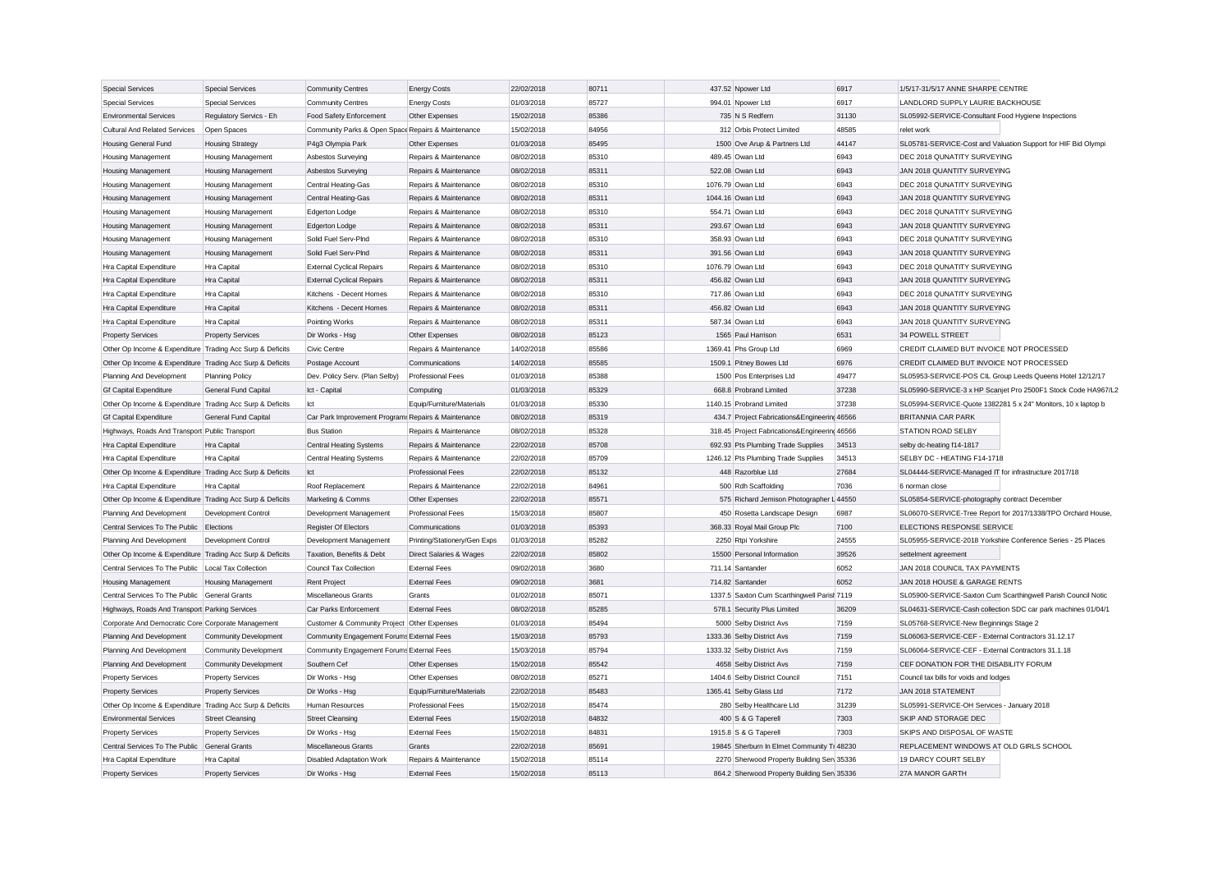| <b>Special Services</b>                                   | <b>Special Services</b>      | <b>Community Centres</b>                            | <b>Energy Costs</b>          | 22/02/2018 | 80711 | 437.52 Npower Ltd                             | 6917  | 1/5/17-31/5/17 ANNE SHARPE CENTRE                             |                                                               |
|-----------------------------------------------------------|------------------------------|-----------------------------------------------------|------------------------------|------------|-------|-----------------------------------------------|-------|---------------------------------------------------------------|---------------------------------------------------------------|
| <b>Special Services</b>                                   | <b>Special Services</b>      | <b>Community Centres</b>                            | <b>Energy Costs</b>          | 01/03/2018 | 85727 | 994.01 Npower Ltd                             | 6917  | LANDLORD SUPPLY LAURIE BACKHOUSE                              |                                                               |
| <b>Environmental Services</b>                             | Regulatory Servics - Eh      | Food Safety Enforcement                             | Other Expenses               | 15/02/2018 | 85386 | 735 N S Redfern                               | 31130 | SL05992-SERVICE-Consultant Food Hygiene Inspections           |                                                               |
| <b>Cultural And Related Services</b>                      | Open Spaces                  | Community Parks & Open Space Repairs & Maintenance  |                              | 15/02/2018 | 84956 | 312 Orbis Protect Limited                     | 48585 | relet work                                                    |                                                               |
| Housing General Fund                                      | <b>Housing Strategy</b>      | P4g3 Olympia Park                                   | Other Expenses               | 01/03/2018 | 85495 | 1500 Ove Arup & Partners Ltd                  | 44147 | SL05781-SERVICE-Cost and Valuation Support for HIF Bid Olympi |                                                               |
| <b>Housing Management</b>                                 | <b>Housing Management</b>    | Asbestos Surveying                                  | Repairs & Maintenance        | 08/02/2018 | 85310 | 489.45 Owan Ltd                               | 6943  | DEC 2018 QUNATITY SURVEYING                                   |                                                               |
|                                                           |                              | Asbestos Surveying                                  | Repairs & Maintenance        | 08/02/2018 | 85311 | 522.08 Owan Ltd                               | 6943  | JAN 2018 QUANTITY SURVEYING                                   |                                                               |
| <b>Housing Management</b>                                 | <b>Housing Management</b>    |                                                     |                              |            |       |                                               |       |                                                               |                                                               |
| <b>Housing Management</b>                                 | <b>Housing Management</b>    | Central Heating-Gas                                 | Repairs & Maintenance        | 08/02/2018 | 85310 | 1076.79 Owan Ltd                              | 6943  | DEC 2018 QUNATITY SURVEYING                                   |                                                               |
| <b>Housing Management</b>                                 | <b>Housing Management</b>    | <b>Central Heating-Gas</b>                          | Repairs & Maintenance        | 08/02/2018 | 85311 | 1044.16 Owan Ltd                              | 6943  | JAN 2018 QUANTITY SURVEYING                                   |                                                               |
| Housing Management                                        | Housing Management           | Edgerton Lodge                                      | Repairs & Maintenance        | 08/02/2018 | 85310 | 554.71 Owan Ltd                               | 6943  | DEC 2018 QUNATITY SURVEYING                                   |                                                               |
| <b>Housing Management</b>                                 | <b>Housing Management</b>    | <b>Edgerton Lodge</b>                               | Repairs & Maintenance        | 08/02/2018 | 85311 | 293.67 Owan Ltd                               | 6943  | JAN 2018 QUANTITY SURVEYING                                   |                                                               |
| Housing Management                                        | Housing Management           | Solid Fuel Serv-PInd                                | Repairs & Maintenance        | 08/02/2018 | 85310 | 358.93 Owan Ltd                               | 6943  | DEC 2018 QUNATITY SURVEYING                                   |                                                               |
| Housing Management                                        | Housing Management           | Solid Fuel Serv-PInd                                | Repairs & Maintenance        | 08/02/2018 | 85311 | 391.56 Owan Ltd                               | 6943  | JAN 2018 QUANTITY SURVEYING                                   |                                                               |
| Hra Capital Expenditure                                   | Hra Capital                  | <b>External Cyclical Repairs</b>                    | Repairs & Maintenance        | 08/02/2018 | 85310 | 1076.79 Owan Ltd                              | 6943  | DEC 2018 QUNATITY SURVEYING                                   |                                                               |
| Hra Capital Expenditure                                   | Hra Capital                  | <b>External Cyclical Repairs</b>                    | Repairs & Maintenance        | 08/02/2018 | 85311 | 456.82 Owan Ltd                               | 6943  | JAN 2018 QUANTITY SURVEYING                                   |                                                               |
| Hra Capital Expenditure                                   | Hra Capital                  | Kitchens - Decent Homes                             | Repairs & Maintenance        | 08/02/2018 | 85310 | 717.86 Owan Ltd                               | 6943  | DEC 2018 QUNATITY SURVEYING                                   |                                                               |
| Hra Capital Expenditure                                   | Hra Capital                  | Kitchens - Decent Homes                             | Repairs & Maintenance        | 08/02/2018 | 85311 | 456.82 Owan Ltd                               | 6943  | JAN 2018 QUANTITY SURVEYING                                   |                                                               |
| Hra Capital Expenditure                                   | Hra Capital                  | Pointing Works                                      | Repairs & Maintenance        | 08/02/2018 | 85311 | 587.34 Owan Ltd                               | 6943  | JAN 2018 QUANTITY SURVEYING                                   |                                                               |
| <b>Property Services</b>                                  | <b>Property Services</b>     | Dir Works - Hsg                                     | Other Expenses               | 08/02/2018 | 85123 | 1565 Paul Harrison                            | 6531  | 34 POWELL STREET                                              |                                                               |
| Other Op Income & Expenditure Trading Acc Surp & Deficits |                              | Civic Centre                                        | Repairs & Maintenance        | 14/02/2018 | 85586 | 1369.41 Phs Group Ltd                         | 6969  | CREDIT CLAIMED BUT INVOICE NOT PROCESSED                      |                                                               |
| Other Op Income & Expenditure Trading Acc Surp & Deficits |                              | Postage Account                                     | Communications               | 14/02/2018 | 85585 | 1509.1 Pitney Bowes Ltd                       | 6976  | CREDIT CLAIMED BUT INVOICE NOT PROCESSED                      |                                                               |
| Planning And Development                                  | <b>Planning Policy</b>       | Dev. Policy Serv. (Plan Selby)                      | <b>Professional Fees</b>     | 01/03/2018 | 85388 | 1500 Pos Enterprises Ltd                      | 49477 |                                                               | SL05953-SERVICE-POS CIL Group Leeds Queens Hotel 12/12/17     |
| Gf Capital Expenditure                                    | General Fund Capital         | Ict - Capital                                       | Computing                    | 01/03/2018 | 85329 | 668.8 Probrand Limited                        | 37238 |                                                               | SL05990-SERVICE-3 x HP Scanjet Pro 2500F1 Stock Code HA967/L2 |
| Other Op Income & Expenditure Trading Acc Surp & Deficits |                              | Ict                                                 | Equip/Furniture/Materials    | 01/03/2018 | 85330 | 1140.15 Probrand Limited                      | 37238 | SL05994-SERVICE-Quote 1382281 5 x 24" Monitors, 10 x laptop b |                                                               |
| <b>Gf Capital Expenditure</b>                             | General Fund Capital         | Car Park Improvement Program: Repairs & Maintenance |                              | 08/02/2018 | 85319 | 434.7 Project Fabrications&Engineering 46566  |       | <b>BRITANNIA CAR PARK</b>                                     |                                                               |
| Highways, Roads And Transport Public Transport            |                              | <b>Bus Station</b>                                  | Repairs & Maintenance        | 08/02/2018 | 85328 | 318.45 Project Fabrications&Engineering 46566 |       | <b>STATION ROAD SELBY</b>                                     |                                                               |
| Hra Capital Expenditure                                   | Hra Capital                  | <b>Central Heating Systems</b>                      | Repairs & Maintenance        | 22/02/2018 | 85708 | 692.93 Pts Plumbing Trade Supplies            | 34513 | selby dc-heating f14-1817                                     |                                                               |
| Hra Capital Expenditure                                   | Hra Capital                  | <b>Central Heating Systems</b>                      | Repairs & Maintenance        | 22/02/2018 | 85709 | 1246.12 Pts Plumbing Trade Supplies           | 34513 | SELBY DC - HEATING F14-1718                                   |                                                               |
| Other Op Income & Expenditure Trading Acc Surp & Deficits |                              | lct                                                 | Professional Fees            | 22/02/2018 | 85132 | 448 Razorblue Ltd                             | 27684 | SL04444-SERVICE-Managed IT for infrastructure 2017/18         |                                                               |
| Hra Capital Expenditure                                   | Hra Capital                  | Roof Replacement                                    | Repairs & Maintenance        | 22/02/2018 | 84961 | 500 Rdh Scaffolding                           | 7036  | 6 norman close                                                |                                                               |
| Other Op Income & Expenditure Trading Acc Surp & Deficits |                              | Marketing & Comms                                   | Other Expenses               | 22/02/2018 | 85571 | 575 Richard Jemison Photographer L 44550      |       | SL05854-SERVICE-photography contract December                 |                                                               |
| Planning And Development                                  | Development Control          | Development Management                              | <b>Professional Fees</b>     | 15/03/2018 | 85807 | 450 Rosetta Landscape Design                  | 6987  |                                                               | SL06070-SERVICE-Tree Report for 2017/1338/TPO Orchard House,  |
| Central Services To The Public                            | Elections                    | <b>Register Of Electors</b>                         | Communications               | 01/03/2018 | 85393 |                                               | 7100  | ELECTIONS RESPONSE SERVICE                                    |                                                               |
|                                                           |                              |                                                     |                              |            | 85282 | 368.33 Royal Mail Group Plc                   |       |                                                               |                                                               |
| Planning And Development                                  | Development Control          | Development Management                              | Printing/Stationery/Gen Exps | 01/03/2018 |       | 2250 Rtpi Yorkshire                           | 24555 | SL05955-SERVICE-2018 Yorkshire Conference Series - 25 Places  |                                                               |
| Other Op Income & Expenditure Trading Acc Surp & Deficits |                              | Taxation, Benefits & Debt                           | Direct Salaries & Wages      | 22/02/2018 | 85802 | 15500 Personal Information                    | 39526 | settelment agreement                                          |                                                               |
| Central Services To The Public                            | Local Tax Collection         | Council Tax Collection                              | <b>External Fees</b>         | 09/02/2018 | 3680  | 711.14 Santander                              | 6052  | JAN 2018 COUNCIL TAX PAYMENTS                                 |                                                               |
| <b>Housing Management</b>                                 | Housing Management           | <b>Rent Project</b>                                 | <b>External Fees</b>         | 09/02/2018 | 3681  | 714.82 Santander                              | 6052  | JAN 2018 HOUSE & GARAGE RENTS                                 |                                                               |
| Central Services To The Public General Grants             |                              | Miscellaneous Grants                                | Grants                       | 01/02/2018 | 85071 | 1337.5 Saxton Cum Scarthingwell Parish 7119   |       |                                                               | SL05900-SERVICE-Saxton Cum Scarthingwell Parish Council Notic |
| Highways, Roads And Transport Parking Services            |                              | Car Parks Enforcement                               | <b>External Fees</b>         | 08/02/2018 | 85285 | 578.1 Security Plus Limited                   | 36209 |                                                               | SL04631-SERVICE-Cash collection SDC car park machines 01/04/1 |
| Corporate And Democratic Core Corporate Management        |                              | Customer & Community Project Other Expenses         |                              | 01/03/2018 | 85494 | 5000 Selby District Avs                       | 7159  | SL05768-SERVICE-New Beginnings Stage 2                        |                                                               |
| Planning And Development                                  | Community Development        | Community Engagement Forums External Fees           |                              | 15/03/2018 | 85793 | 1333.36 Selby District Avs                    | 7159  | SL06063-SERVICE-CEF - External Contractors 31.12.17           |                                                               |
| Planning And Development                                  | <b>Community Development</b> | Community Engagement Forums External Fees           |                              | 15/03/2018 | 85794 | 1333.32 Selby District Avs                    | 7159  | SL06064-SERVICE-CEF - External Contractors 31.1.18            |                                                               |
| Planning And Development                                  | <b>Community Development</b> | Southern Cef                                        | Other Expenses               | 15/02/2018 | 85542 | 4658 Selby District Avs                       | 7159  | CEF DONATION FOR THE DISABILITY FORUM                         |                                                               |
| <b>Property Services</b>                                  | <b>Property Services</b>     | Dir Works - Hsg                                     | Other Expenses               | 08/02/2018 | 85271 | 1404.6 Selby District Council                 | 7151  | Council tax bills for voids and lodges                        |                                                               |
| <b>Property Services</b>                                  | <b>Property Services</b>     | Dir Works - Hsg                                     | Equip/Furniture/Materials    | 22/02/2018 | 85483 | 1365.41 Selby Glass Ltd                       | 7172  | JAN 2018 STATEMENT                                            |                                                               |
| Other Op Income & Expenditure Trading Acc Surp & Deficits |                              | Human Resources                                     | <b>Professional Fees</b>     | 15/02/2018 | 85474 | 280 Selby Healthcare Ltd                      | 31239 | SL05991-SERVICE-OH Services - January 2018                    |                                                               |
| <b>Environmental Services</b>                             | <b>Street Cleansing</b>      | <b>Street Cleansing</b>                             | <b>External Fees</b>         | 15/02/2018 | 84832 | 400 S & G Taperell                            | 7303  | SKIP AND STORAGE DEC                                          |                                                               |
| <b>Property Services</b>                                  | <b>Property Services</b>     | Dir Works - Hsg                                     | <b>External Fees</b>         | 15/02/2018 | 84831 | 1915.8 S & G Taperell                         | 7303  | SKIPS AND DISPOSAL OF WASTE                                   |                                                               |
| Central Services To The Public                            | General Grants               | Miscellaneous Grants                                | Grants                       | 22/02/2018 | 85691 | 19845 Sherburn In Elmet Community Tr 48230    |       | REPLACEMENT WINDOWS AT OLD GIRLS SCHOOL                       |                                                               |
| Hra Capital Expenditure                                   | Hra Capital                  | <b>Disabled Adaptation Work</b>                     | Repairs & Maintenance        | 15/02/2018 | 85114 | 2270 Sherwood Property Building Serv 35336    |       | 19 DARCY COURT SELBY                                          |                                                               |
| <b>Property Services</b>                                  | <b>Property Services</b>     | Dir Works - Hsg                                     | <b>External Fees</b>         | 15/02/2018 | 85113 | 864.2 Sherwood Property Building Sen 35336    |       | 27A MANOR GARTH                                               |                                                               |
|                                                           |                              |                                                     |                              |            |       |                                               |       |                                                               |                                                               |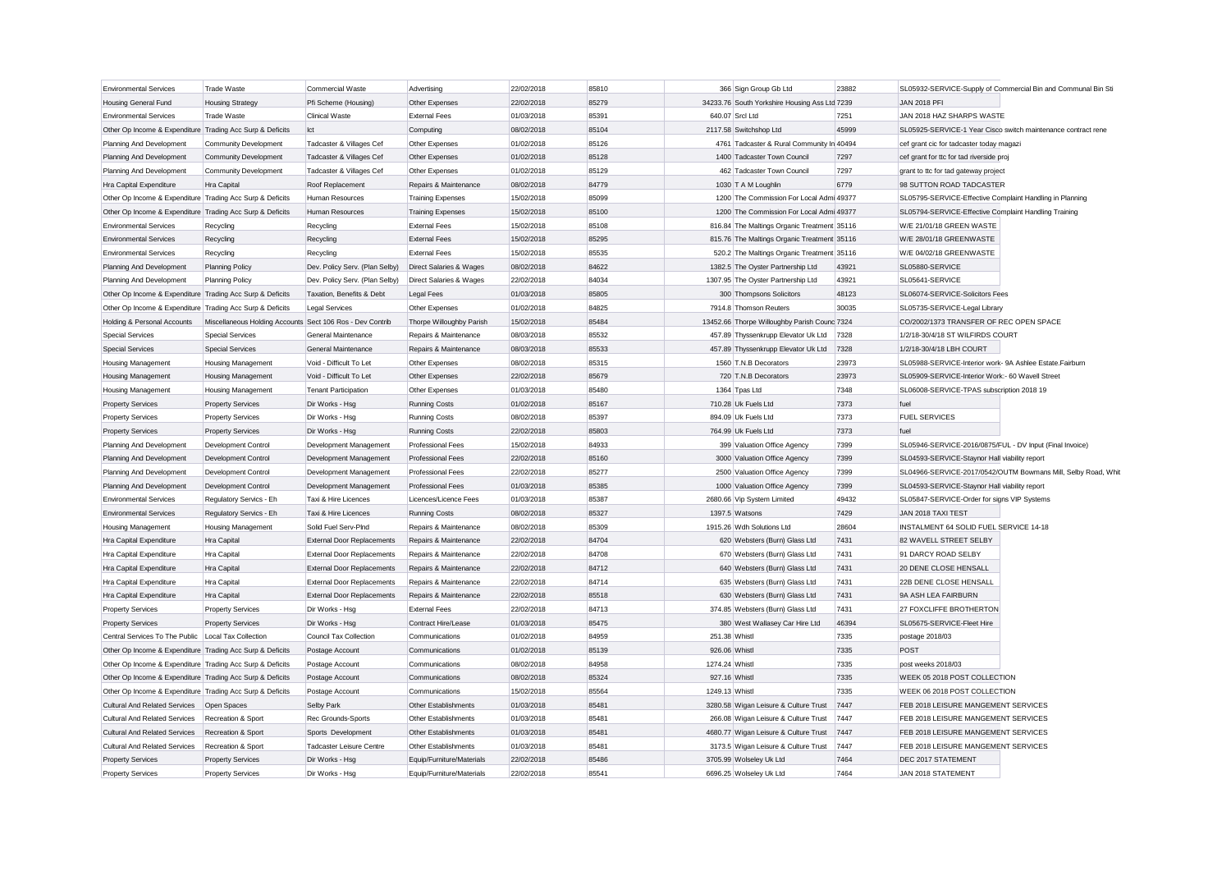| <b>Environmental Services</b>                             | <b>Trade Waste</b>                                        | Commercial Waste                  | Advertising                                            | 22/02/2018 | 85810 |                | 366 Sign Group Gb Ltd                                                         | 23882 |                                                          | SL05932-SERVICE-Supply of Commercial Bin and Communal Bin Sti |
|-----------------------------------------------------------|-----------------------------------------------------------|-----------------------------------|--------------------------------------------------------|------------|-------|----------------|-------------------------------------------------------------------------------|-------|----------------------------------------------------------|---------------------------------------------------------------|
| <b>Housing General Fund</b>                               | <b>Housing Strategy</b>                                   | Pfi Scheme (Housing)              | Other Expenses                                         | 22/02/2018 | 85279 |                | 34233.76 South Yorkshire Housing Ass Ltd 7239                                 |       | <b>JAN 2018 PFI</b>                                      |                                                               |
| <b>Environmental Services</b>                             | Trade Waste                                               | Clinical Waste                    | <b>External Fees</b>                                   | 01/03/2018 | 85391 |                | 640.07 Srcl Ltd                                                               | 7251  | JAN 2018 HAZ SHARPS WASTE                                |                                                               |
| Other Op Income & Expenditure Trading Acc Surp & Deficits |                                                           | Ict                               | Computing                                              | 08/02/2018 | 85104 |                | 2117.58 Switchshop Ltd                                                        | 45999 |                                                          | SL05925-SERVICE-1 Year Cisco switch maintenance contract rene |
| Planning And Development                                  | <b>Community Development</b>                              | Tadcaster & Villages Cef          | Other Expenses                                         | 01/02/2018 | 85126 |                | 4761 Tadcaster & Rural Community In 40494                                     |       | cef grant cic for tadcaster today magazi                 |                                                               |
| Planning And Development                                  | Community Development                                     | Tadcaster & Villages Cef          | Other Expenses                                         | 01/02/2018 | 85128 |                | 1400 Tadcaster Town Council                                                   | 7297  | cef grant for ttc for tad riverside proj                 |                                                               |
| Planning And Development                                  | Community Development                                     | Tadcaster & Villages Cef          | Other Expenses                                         | 01/02/2018 | 85129 |                | 462 Tadcaster Town Council                                                    | 7297  | grant to ttc for tad gateway project                     |                                                               |
| Hra Capital Expenditure                                   | Hra Capital                                               | Roof Replacement                  | Repairs & Maintenance                                  | 08/02/2018 | 84779 |                | 1030 T A M Loughlin                                                           | 6779  | 98 SUTTON ROAD TADCASTER                                 |                                                               |
| Other Op Income & Expenditure Trading Acc Surp & Deficits |                                                           | Human Resources                   | <b>Training Expenses</b>                               | 15/02/2018 | 85099 |                | 1200 The Commission For Local Admi 49377                                      |       | SL05795-SERVICE-Effective Complaint Handling in Planning |                                                               |
| Other Op Income & Expenditure Trading Acc Surp & Deficits |                                                           | Human Resources                   | <b>Training Expenses</b>                               | 15/02/2018 | 85100 |                | 1200 The Commission For Local Admi 49377                                      |       | SL05794-SERVICE-Effective Complaint Handling Training    |                                                               |
| <b>Environmental Services</b>                             | Recycling                                                 | Recycling                         | <b>External Fees</b>                                   | 15/02/2018 | 85108 |                | 816.84 The Maltings Organic Treatment 35116                                   |       | W/E 21/01/18 GREEN WASTE                                 |                                                               |
| <b>Environmental Services</b>                             | Recycling                                                 | Recycling                         | <b>External Fees</b>                                   | 15/02/2018 | 85295 |                | 815.76 The Maltings Organic Treatment 35116                                   |       | W/E 28/01/18 GREENWASTE                                  |                                                               |
| <b>Environmental Services</b>                             | Recycling                                                 | Recycling                         | <b>External Fees</b>                                   | 15/02/2018 | 85535 |                | 520.2 The Maltings Organic Treatment 35116                                    |       | W/E 04/02/18 GREENWASTE                                  |                                                               |
| Planning And Development                                  | <b>Planning Policy</b>                                    | Dev. Policy Serv. (Plan Selby)    | Direct Salaries & Wages                                | 08/02/2018 | 84622 |                | 1382.5 The Oyster Partnership Ltd                                             | 43921 | SL05880-SERVICE                                          |                                                               |
| Planning And Development                                  | <b>Planning Policy</b>                                    | Dev. Policy Serv. (Plan Selby)    | Direct Salaries & Wages                                | 22/02/2018 | 84034 |                | 1307.95 The Oyster Partnership Ltd                                            | 43921 | SL05641-SERVICE                                          |                                                               |
| Other Op Income & Expenditure Trading Acc Surp & Deficits |                                                           | Taxation, Benefits & Debt         | <b>Legal Fees</b>                                      | 01/03/2018 | 85805 |                | 300 Thompsons Solicitors                                                      | 48123 | SL06074-SERVICE-Solicitors Fees                          |                                                               |
| Other Op Income & Expenditure Trading Acc Surp & Deficits |                                                           | <b>Legal Services</b>             | Other Expenses                                         | 01/02/2018 | 84825 |                | 7914.8 Thomson Reuters                                                        | 30035 | SL05735-SERVICE-Legal Library                            |                                                               |
| Holding & Personal Accounts                               | Miscellaneous Holding Accounts Sect 106 Ros - Dev Contrib |                                   | Thorpe Willoughby Parish                               | 15/02/2018 | 85484 |                | 13452.66 Thorpe Willoughby Parish Counc 7324                                  |       | CO/2002/1373 TRANSFER OF REC OPEN SPACE                  |                                                               |
| <b>Special Services</b>                                   | <b>Special Services</b>                                   | General Maintenance               | Repairs & Maintenance                                  | 08/03/2018 | 85532 |                | 457.89 Thyssenkrupp Elevator Uk Ltd 7328                                      |       | 1/2/18-30/4/18 ST WILFIRDS COURT                         |                                                               |
| <b>Special Services</b>                                   | <b>Special Services</b>                                   | General Maintenance               | Repairs & Maintenance                                  | 08/03/2018 | 85533 |                | 457.89 Thyssenkrupp Elevator Uk Ltd                                           | 7328  | 1/2/18-30/4/18 LBH COURT                                 |                                                               |
| <b>Housing Management</b>                                 | <b>Housing Management</b>                                 | Void - Difficult To Let           | Other Expenses                                         | 08/02/2018 | 85315 |                | 1560 T.N.B Decorators                                                         | 23973 | SL05988-SERVICE-Interior work- 9A Ashlee Estate.Fairburn |                                                               |
| <b>Housing Management</b>                                 | <b>Housing Management</b>                                 | Void - Difficult To Let           | Other Expenses                                         | 22/02/2018 | 85679 |                | 720 T.N.B Decorators                                                          | 23973 | SL05909-SERVICE-Interior Work:- 60 Wavell Street         |                                                               |
| <b>Housing Management</b>                                 | <b>Housing Management</b>                                 | <b>Tenant Participation</b>       | Other Expenses                                         | 01/03/2018 | 85480 |                | 1364 Tpas Ltd                                                                 | 7348  | SL06008-SERVICE-TPAS subscription 2018 19                |                                                               |
| <b>Property Services</b>                                  | <b>Property Services</b>                                  | Dir Works - Hsg                   | <b>Running Costs</b>                                   | 01/02/2018 | 85167 |                | 710.28 Uk Fuels Ltd                                                           | 7373  | fuel                                                     |                                                               |
| <b>Property Services</b>                                  | <b>Property Services</b>                                  | Dir Works - Hsg                   | <b>Running Costs</b>                                   | 08/02/2018 | 85397 |                | 894.09 Uk Fuels Ltd                                                           | 7373  | <b>FUEL SERVICES</b>                                     |                                                               |
| <b>Property Services</b>                                  | <b>Property Services</b>                                  | Dir Works - Hsg                   | <b>Running Costs</b>                                   | 22/02/2018 | 85803 |                | 764.99 Uk Fuels Ltd                                                           | 7373  | fuel                                                     |                                                               |
| Planning And Development                                  | Development Control                                       | Development Management            | <b>Professional Fees</b>                               | 15/02/2018 | 84933 |                | 399 Valuation Office Agency                                                   | 7399  | SL05946-SERVICE-2016/0875/FUL - DV Input (Final Invoice) |                                                               |
| Planning And Development                                  | Development Control                                       | Development Management            | <b>Professional Fees</b>                               | 22/02/2018 | 85160 |                | 3000 Valuation Office Agency                                                  | 7399  | SL04593-SERVICE-Staynor Hall viability report            |                                                               |
| Planning And Development                                  | Development Control                                       | Development Management            | Professional Fees                                      | 22/02/2018 | 85277 |                | 2500 Valuation Office Agency                                                  | 7399  |                                                          | SL04966-SERVICE-2017/0542/OUTM Bowmans Mill, Selby Road, Whit |
| Planning And Development                                  | Development Control                                       | Development Management            | <b>Professional Fees</b>                               | 01/03/2018 | 85385 |                | 1000 Valuation Office Agency                                                  | 7399  | SL04593-SERVICE-Staynor Hall viability report            |                                                               |
| <b>Environmental Services</b>                             | Regulatory Servics - Eh                                   | Taxi & Hire Licences              | Licences/Licence Fees                                  | 01/03/2018 | 85387 |                | 2680.66 Vip System Limited                                                    | 49432 | SL05847-SERVICE-Order for signs VIP Systems              |                                                               |
| <b>Environmental Services</b>                             | Regulatory Servics - Eh                                   | Taxi & Hire Licences              | <b>Running Costs</b>                                   | 08/02/2018 | 85327 |                | 1397.5 Watsons                                                                | 7429  | JAN 2018 TAXI TEST                                       |                                                               |
| Housing Management                                        | Housing Management                                        | Solid Fuel Serv-PInd              | Repairs & Maintenance                                  | 08/02/2018 | 85309 |                | 1915.26 Wdh Solutions Ltd                                                     | 28604 | INSTALMENT 64 SOLID FUEL SERVICE 14-18                   |                                                               |
| <b>Hra Capital Expenditure</b>                            | <b>Hra Capital</b>                                        | <b>External Door Replacements</b> | Repairs & Maintenance                                  | 22/02/2018 | 84704 |                | 620 Websters (Burn) Glass Ltd                                                 | 7431  | 82 WAVELL STREET SELBY                                   |                                                               |
| Hra Capital Expenditure                                   | Hra Capital                                               | External Door Replacements        | Repairs & Maintenance                                  | 22/02/2018 | 84708 |                | 670 Websters (Burn) Glass Ltd                                                 | 7431  | 91 DARCY ROAD SELBY                                      |                                                               |
| Hra Capital Expenditure                                   | <b>Hra Capital</b>                                        | <b>External Door Replacements</b> | Repairs & Maintenance                                  | 22/02/2018 | 84712 |                | 640 Websters (Burn) Glass Ltd                                                 | 7431  | <b>20 DENE CLOSE HENSALL</b>                             |                                                               |
| Hra Capital Expenditure                                   | Hra Capital                                               | External Door Replacements        | Repairs & Maintenance                                  | 22/02/2018 | 84714 |                | 635 Websters (Burn) Glass Ltd                                                 | 7431  | 22B DENE CLOSE HENSALL                                   |                                                               |
| Hra Capital Expenditure                                   | Hra Capital                                               | External Door Replacements        | Repairs & Maintenance                                  | 22/02/2018 | 85518 |                | 630 Websters (Burn) Glass Ltd                                                 | 7431  | 9A ASH LEA FAIRBURN                                      |                                                               |
| <b>Property Services</b>                                  | <b>Property Services</b>                                  | Dir Works - Hsg                   | <b>External Fees</b>                                   | 22/02/2018 | 84713 |                | 374.85 Websters (Burn) Glass Ltd                                              | 7431  | 27 FOXCLIFFE BROTHERTON                                  |                                                               |
| <b>Property Services</b>                                  | <b>Property Services</b>                                  | Dir Works - Hsg                   | Contract Hire/Lease                                    | 01/03/2018 | 85475 |                | 380 West Wallasey Car Hire Ltd                                                | 46394 | SL05675-SERVICE-Fleet Hire                               |                                                               |
| Central Services To The Public   Local Tax Collection     |                                                           | Council Tax Collection            | Communications                                         | 01/02/2018 | 84959 | 251.38 Whistl  |                                                                               | 7335  | postage 2018/03                                          |                                                               |
| Other Op Income & Expenditure Trading Acc Surp & Deficits |                                                           | Postage Account                   | Communications                                         | 01/02/2018 | 85139 | 926.06 Whistl  |                                                                               | 7335  | POST                                                     |                                                               |
| Other Op Income & Expenditure Trading Acc Surp & Deficits |                                                           | Postage Account                   | Communications                                         | 08/02/2018 | 84958 | 1274.24 Whistl |                                                                               | 7335  | post weeks 2018/03                                       |                                                               |
| Other Op Income & Expenditure Trading Acc Surp & Deficits |                                                           | Postage Account                   | Communications                                         | 08/02/2018 | 85324 | 927.16 Whistl  |                                                                               | 7335  | WEEK 05 2018 POST COLLECTION                             |                                                               |
| Other Op Income & Expenditure Trading Acc Surp & Deficits |                                                           | Postage Account                   | Communications                                         | 15/02/2018 | 85564 | 1249.13 Whistl |                                                                               | 7335  | WEEK 06 2018 POST COLLECTION                             |                                                               |
| <b>Cultural And Related Services</b>                      |                                                           | <b>Selby Park</b>                 | Other Establishments                                   | 01/03/2018 | 85481 |                | 3280.58 Wigan Leisure & Culture Trust                                         | 7447  | FEB 2018 LEISURE MANGEMENT SERVICES                      |                                                               |
| <b>Cultural And Related Services</b>                      | Open Spaces<br>Recreation & Sport                         | Rec Grounds-Sports                | Other Establishments                                   | 01/03/2018 | 85481 |                | 266.08 Wigan Leisure & Culture Trust                                          | 7447  | FEB 2018 LEISURE MANGEMENT SERVICES                      |                                                               |
| <b>Cultural And Related Services</b>                      | Recreation & Sport                                        | Sports Development                | Other Establishments                                   | 01/03/2018 | 85481 |                |                                                                               | 7447  | FEB 2018 LEISURE MANGEMENT SERVICES                      |                                                               |
| <b>Cultural And Related Services</b>                      | Recreation & Sport                                        | <b>Tadcaster Leisure Centre</b>   | Other Establishments                                   | 01/03/2018 | 85481 |                | 4680.77 Wigan Leisure & Culture Trust<br>3173.5 Wigan Leisure & Culture Trust | 7447  | FEB 2018 LEISURE MANGEMENT SERVICES                      |                                                               |
|                                                           |                                                           | Dir Works - Hsg                   |                                                        | 22/02/2018 | 85486 |                | 3705.99 Wolseley Uk Ltd                                                       | 7464  | DEC 2017 STATEMENT                                       |                                                               |
| <b>Property Services</b><br><b>Property Services</b>      | <b>Property Services</b><br><b>Property Services</b>      | Dir Works - Hsa                   | Equip/Furniture/Materials<br>Equip/Furniture/Materials | 22/02/2018 | 85541 |                | 6696.25 Wolseley Uk Ltd                                                       | 7464  | <b>JAN 2018 STATEMENT</b>                                |                                                               |
|                                                           |                                                           |                                   |                                                        |            |       |                |                                                                               |       |                                                          |                                                               |